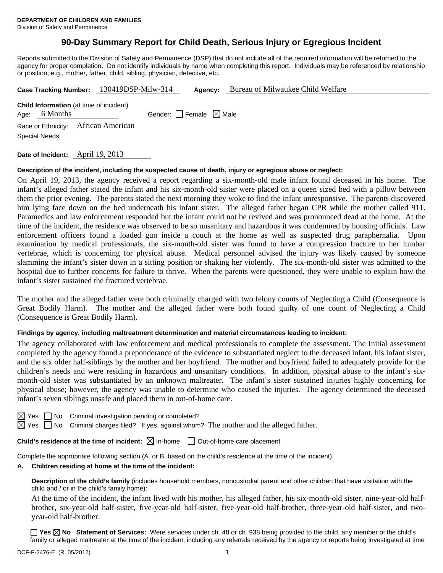# **90-Day Summary Report for Child Death, Serious Injury or Egregious Incident**

Reports submitted to the Division of Safety and Permanence (DSP) that do not include all of the required information will be returned to the agency for proper completion. Do not identify individuals by name when completing this report. Individuals may be referenced by relationship or position; e.g., mother, father, child, sibling, physician, detective, etc.

|                |                 | Case Tracking Number: 130419DSP-Milw-314       | Agency:                         | Bureau of Milwaukee Child Welfare |
|----------------|-----------------|------------------------------------------------|---------------------------------|-----------------------------------|
|                | Age: $6$ Months | <b>Child Information</b> (at time of incident) | Gender: Female $\boxtimes$ Male |                                   |
|                |                 | Race or Ethnicity: African American            |                                 |                                   |
| Special Needs: |                 |                                                |                                 |                                   |
|                |                 |                                                |                                 |                                   |

**Date of Incident:** April 19, 2013

### **Description of the incident, including the suspected cause of death, injury or egregious abuse or neglect:**

On April 19, 2013, the agency received a report regarding a six-month-old male infant found deceased in his home. The infant's alleged father stated the infant and his six-month-old sister were placed on a queen sized bed with a pillow between them the prior evening. The parents stated the next morning they woke to find the infant unresponsive. The parents discovered him lying face down on the bed underneath his infant sister. The alleged father began CPR while the mother called 911. Paramedics and law enforcement responded but the infant could not be revived and was pronounced dead at the home. At the time of the incident, the residence was observed to be so unsanitary and hazardous it was condemned by housing officials. Law enforcement officers found a loaded gun inside a couch at the home as well as suspected drug paraphernalia. Upon examination by medical professionals, the six-month-old sister was found to have a compression fracture to her lumbar vertebrae, which is concerning for physical abuse. Medical personnel advised the injury was likely caused by someone slamming the infant's sister down in a sitting position or shaking her violently. The six-month-old sister was admitted to the hospital due to further concerns for failure to thrive. When the parents were questioned, they were unable to explain how the infant's sister sustained the fractured vertebrae.

The mother and the alleged father were both criminally charged with two felony counts of Neglecting a Child (Consequence is Great Bodily Harm). The mother and the alleged father were both found guilty of one count of Neglecting a Child (Consequence is Great Bodily Harm).

## **Findings by agency, including maltreatment determination and material circumstances leading to incident:**

The agency collaborated with law enforcement and medical professionals to complete the assessment. The Initial assessment completed by the agency found a preponderance of the evidence to substantiated neglect to the deceased infant, his infant sister, and the six older half-siblings by the mother and her boyfriend. The mother and boyfriend failed to adequately provide for the children's needs and were residing in hazardous and unsanitary conditions. In addition, physical abuse to the infant's sixmonth-old sister was substantiated by an unknown maltreater. The infant's sister sustained injuries highly concerning for physical abuse; however, the agency was unable to determine who caused the injuries. The agency determined the deceased infant's seven siblings unsafe and placed them in out-of-home care.

| ⊢ |  |
|---|--|
|   |  |

No Criminal investigation pending or completed?

 $\boxtimes$  Yes  $\Box$  No Criminal charges filed? If yes, against whom? The mother and the alleged father.

**Child's residence at the time of incident:**  $\boxtimes$  In-home  $\Box$  Out-of-home care placement

Complete the appropriate following section (A. or B. based on the child's residence at the time of the incident).

## **A. Children residing at home at the time of the incident:**

**Description of the child's family** (includes household members, noncustodial parent and other children that have visitation with the child and / or in the child's family home):

 At the time of the incident, the infant lived with his mother, his alleged father, his six-month-old sister, nine-year-old halfbrother, six-year-old half-sister, five-year-old half-sister, five-year-old half-brother, three-year-old half-sister, and twoyear-old half-brother.

**Yes No Statement of Services:** Were services under ch. 48 or ch. 938 being provided to the child, any member of the child's family or alleged maltreater at the time of the incident, including any referrals received by the agency or reports being investigated at time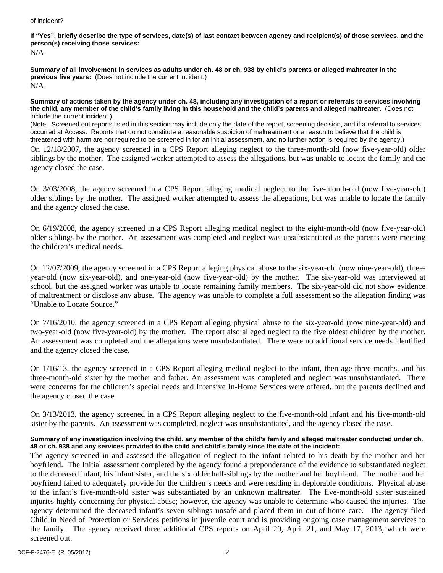#### of incident?

# **If "Yes", briefly describe the type of services, date(s) of last contact between agency and recipient(s) of those services, and the person(s) receiving those services:**

N/A

**Summary of all involvement in services as adults under ch. 48 or ch. 938 by child's parents or alleged maltreater in the previous five years:** (Does not include the current incident.) N/A

#### **Summary of actions taken by the agency under ch. 48, including any investigation of a report or referrals to services involving the child, any member of the child's family living in this household and the child's parents and alleged maltreater.** (Does not include the current incident.)

(Note: Screened out reports listed in this section may include only the date of the report, screening decision, and if a referral to services occurred at Access. Reports that do not constitute a reasonable suspicion of maltreatment or a reason to believe that the child is threatened with harm are not required to be screened in for an initial assessment, and no further action is required by the agency.)

On 12/18/2007, the agency screened in a CPS Report alleging neglect to the three-month-old (now five-year-old) older siblings by the mother. The assigned worker attempted to assess the allegations, but was unable to locate the family and the agency closed the case.

On 3/03/2008, the agency screened in a CPS Report alleging medical neglect to the five-month-old (now five-year-old) older siblings by the mother. The assigned worker attempted to assess the allegations, but was unable to locate the family and the agency closed the case.

On 6/19/2008, the agency screened in a CPS Report alleging medical neglect to the eight-month-old (now five-year-old) older siblings by the mother. An assessment was completed and neglect was unsubstantiated as the parents were meeting the children's medical needs.

On 12/07/2009, the agency screened in a CPS Report alleging physical abuse to the six-year-old (now nine-year-old), threeyear-old (now six-year-old), and one-year-old (now five-year-old) by the mother. The six-year-old was interviewed at school, but the assigned worker was unable to locate remaining family members. The six-year-old did not show evidence of maltreatment or disclose any abuse. The agency was unable to complete a full assessment so the allegation finding was "Unable to Locate Source."

On 7/16/2010, the agency screened in a CPS Report alleging physical abuse to the six-year-old (now nine-year-old) and two-year-old (now five-year-old) by the mother. The report also alleged neglect to the five oldest children by the mother. An assessment was completed and the allegations were unsubstantiated. There were no additional service needs identified and the agency closed the case.

On 1/16/13, the agency screened in a CPS Report alleging medical neglect to the infant, then age three months, and his three-month-old sister by the mother and father. An assessment was completed and neglect was unsubstantiated. There were concerns for the children's special needs and Intensive In-Home Services were offered, but the parents declined and the agency closed the case.

On 3/13/2013, the agency screened in a CPS Report alleging neglect to the five-month-old infant and his five-month-old sister by the parents. An assessment was completed, neglect was unsubstantiated, and the agency closed the case.

## **Summary of any investigation involving the child, any member of the child's family and alleged maltreater conducted under ch. 48 or ch. 938 and any services provided to the child and child's family since the date of the incident:**

The agency screened in and assessed the allegation of neglect to the infant related to his death by the mother and her boyfriend. The Initial assessment completed by the agency found a preponderance of the evidence to substantiated neglect to the deceased infant, his infant sister, and the six older half-siblings by the mother and her boyfriend. The mother and her boyfriend failed to adequately provide for the children's needs and were residing in deplorable conditions. Physical abuse to the infant's five-month-old sister was substantiated by an unknown maltreater. The five-month-old sister sustained injuries highly concerning for physical abuse; however, the agency was unable to determine who caused the injuries. The agency determined the deceased infant's seven siblings unsafe and placed them in out-of-home care. The agency filed Child in Need of Protection or Services petitions in juvenile court and is providing ongoing case management services to the family. The agency received three additional CPS reports on April 20, April 21, and May 17, 2013, which were screened out.